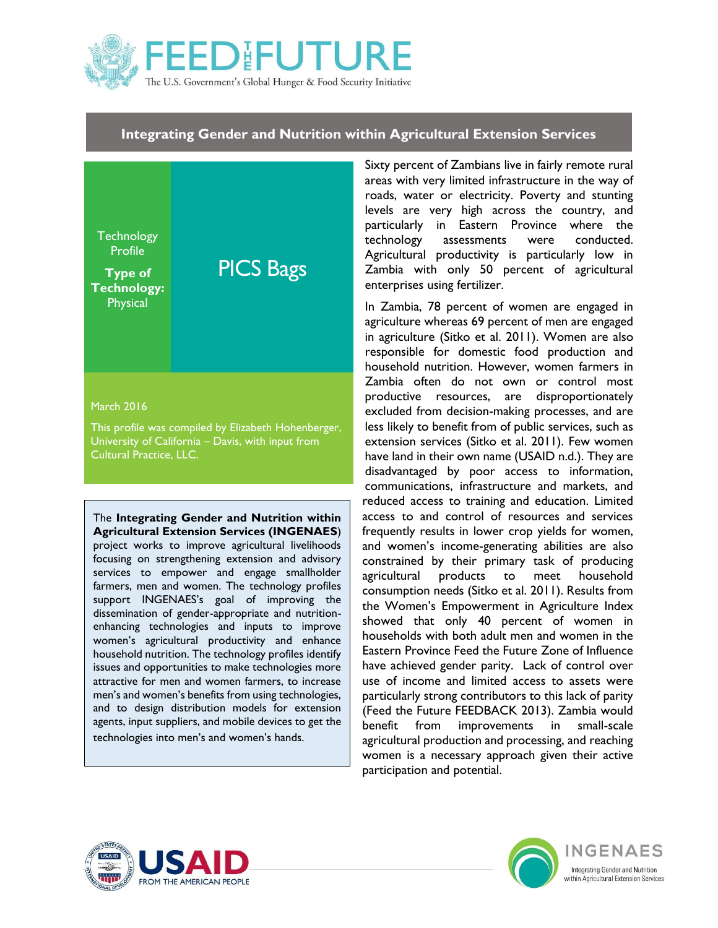

### **Integrating Gender and Nutrition within Agricultural Extension Services**

**Technology Profile Type of Technology: Physical** PICS Bags March 2016

This profile was compiled by Elizabeth Hohenberger, University of California – Davis, with input from Cultural Practice, LLC.

The **Integrating Gender and Nutrition within Agricultural Extension Services (INGENAES**) project works to improve agricultural livelihoods

focusing on strengthening extension and advisory services to empower and engage smallholder farmers, men and women. The technology profiles support INGENAES's goal of improving the dissemination of gender-appropriate and nutritionenhancing technologies and inputs to improve women's agricultural productivity and enhance household nutrition. The technology profiles identify issues and opportunities to make technologies more attractive for men and women farmers, to increase men's and women's benefits from using technologies, and to design distribution models for extension agents, input suppliers, and mobile devices to get the technologies into men's and women's hands.

Sixty percent of Zambians live in fairly remote rural areas with very limited infrastructure in the way of roads, water or electricity. Poverty and stunting levels are very high across the country, and particularly in Eastern Province where the technology assessments were conducted. Agricultural productivity is particularly low in Zambia with only 50 percent of agricultural enterprises using fertilizer.

In Zambia, 78 percent of women are engaged in agriculture whereas 69 percent of men are engaged in agriculture (Sitko et al. 2011). Women are also responsible for domestic food production and household nutrition. However, women farmers in Zambia often do not own or control most productive resources, are disproportionately excluded from decision-making processes, and are less likely to benefit from of public services, such as extension services (Sitko et al. 2011). Few women have land in their own name (USAID n.d.). They are disadvantaged by poor access to information, communications, infrastructure and markets, and reduced access to training and education. Limited access to and control of resources and services frequently results in lower crop yields for women, and women's income-generating abilities are also constrained by their primary task of producing agricultural products to meet household consumption needs (Sitko et al. 2011). Results from the Women's Empowerment in Agriculture Index showed that only 40 percent of women in households with both adult men and women in the Eastern Province Feed the Future Zone of Influence have achieved gender parity. Lack of control over use of income and limited access to assets were particularly strong contributors to this lack of parity (Feed the Future FEEDBACK 2013). Zambia would benefit from improvements in small-scale agricultural production and processing, and reaching women is a necessary approach given their active participation and potential.



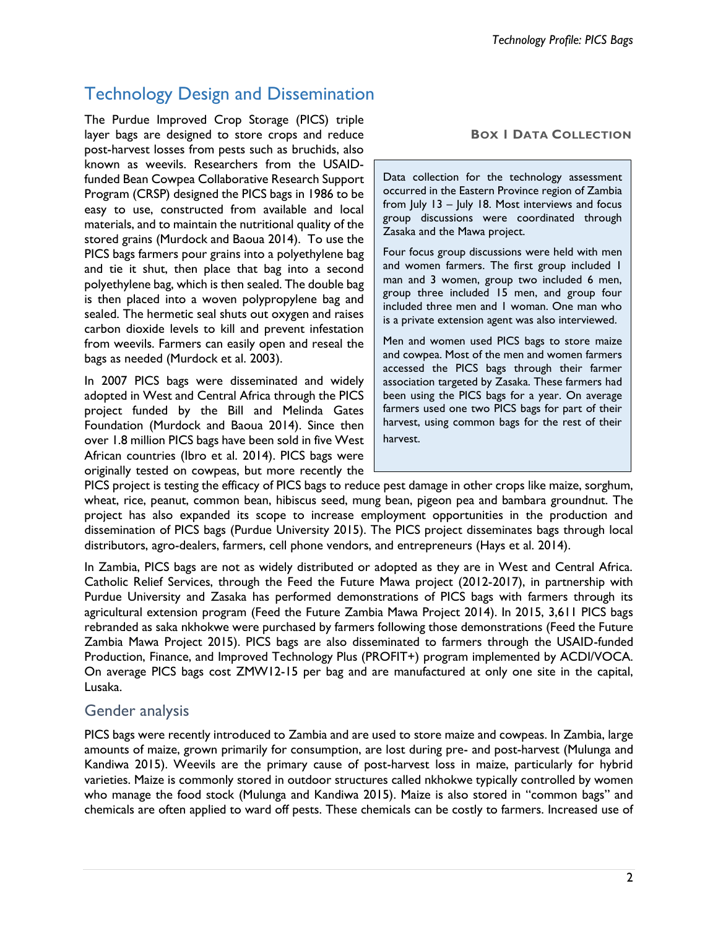# Technology Design and Dissemination

The Purdue Improved Crop Storage (PICS) triple layer bags are designed to store crops and reduce post-harvest losses from pests such as bruchids, also known as weevils. Researchers from the USAIDfunded Bean Cowpea Collaborative Research Support Program (CRSP) designed the PICS bags in 1986 to be easy to use, constructed from available and local materials, and to maintain the nutritional quality of the stored grains (Murdock and Baoua 2014). To use the PICS bags farmers pour grains into a polyethylene bag and tie it shut, then place that bag into a second polyethylene bag, which is then sealed. The double bag is then placed into a woven polypropylene bag and sealed. The hermetic seal shuts out oxygen and raises carbon dioxide levels to kill and prevent infestation from weevils. Farmers can easily open and reseal the bags as needed (Murdock et al. 2003).

In 2007 PICS bags were disseminated and widely adopted in West and Central Africa through the PICS project funded by the Bill and Melinda Gates Foundation (Murdock and Baoua 2014). Since then over 1.8 million PICS bags have been sold in five West African countries (Ibro et al. 2014). PICS bags were originally tested on cowpeas, but more recently the

#### **BOX 1 DATA COLLECTION**

Data collection for the technology assessment occurred in the Eastern Province region of Zambia from July 13 – July 18. Most interviews and focus group discussions were coordinated through Zasaka and the Mawa project.

Four focus group discussions were held with men and women farmers. The first group included 1 man and 3 women, group two included 6 men, group three included 15 men, and group four included three men and 1 woman. One man who is a private extension agent was also interviewed.

Men and women used PICS bags to store maize and cowpea. Most of the men and women farmers accessed the PICS bags through their farmer association targeted by Zasaka. These farmers had been using the PICS bags for a year. On average farmers used one two PICS bags for part of their harvest, using common bags for the rest of their harvest.

PICS project is testing the efficacy of PICS bags to reduce pest damage in other crops like maize, sorghum, wheat, rice, peanut, common bean, hibiscus seed, mung bean, pigeon pea and bambara groundnut. The project has also expanded its scope to increase employment opportunities in the production and dissemination of PICS bags (Purdue University 2015). The PICS project disseminates bags through local distributors, agro-dealers, farmers, cell phone vendors, and entrepreneurs (Hays et al. 2014).

In Zambia, PICS bags are not as widely distributed or adopted as they are in West and Central Africa. Catholic Relief Services, through the Feed the Future Mawa project (2012-2017), in partnership with Purdue University and Zasaka has performed demonstrations of PICS bags with farmers through its agricultural extension program (Feed the Future Zambia Mawa Project 2014). In 2015, 3,611 PICS bags rebranded as saka nkhokwe were purchased by farmers following those demonstrations (Feed the Future Zambia Mawa Project 2015). PICS bags are also disseminated to farmers through the USAID-funded Production, Finance, and Improved Technology Plus (PROFIT+) program implemented by ACDI/VOCA. On average PICS bags cost ZMW12-15 per bag and are manufactured at only one site in the capital, Lusaka.

### Gender analysis

PICS bags were recently introduced to Zambia and are used to store maize and cowpeas. In Zambia, large amounts of maize, grown primarily for consumption, are lost during pre- and post-harvest (Mulunga and Kandiwa 2015). Weevils are the primary cause of post-harvest loss in maize, particularly for hybrid varieties. Maize is commonly stored in outdoor structures called nkhokwe typically controlled by women who manage the food stock (Mulunga and Kandiwa 2015). Maize is also stored in "common bags" and chemicals are often applied to ward off pests. These chemicals can be costly to farmers. Increased use of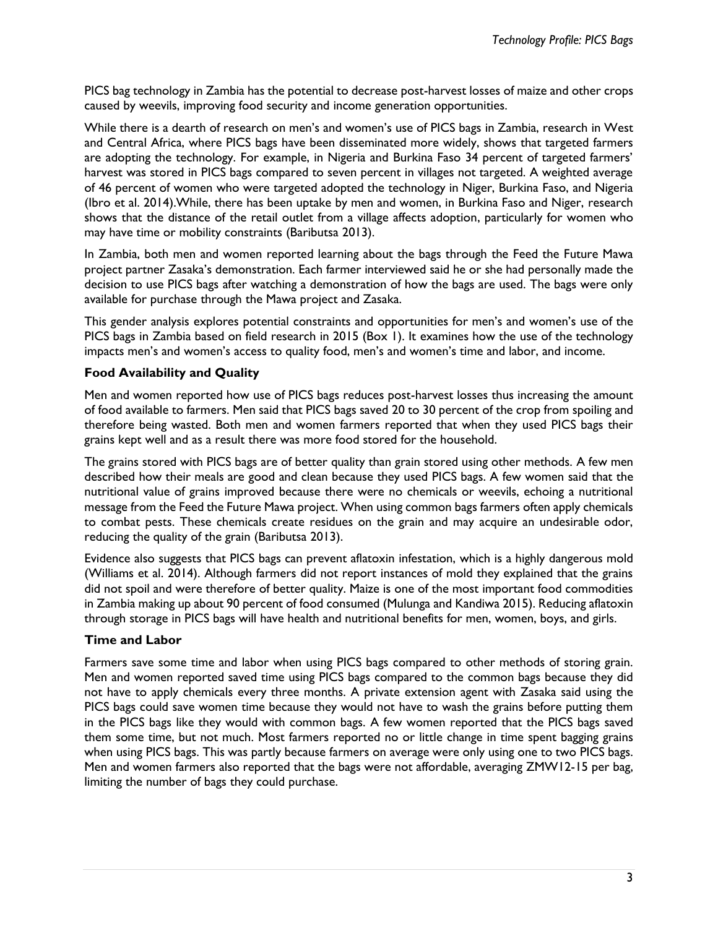PICS bag technology in Zambia has the potential to decrease post-harvest losses of maize and other crops caused by weevils, improving food security and income generation opportunities.

While there is a dearth of research on men's and women's use of PICS bags in Zambia, research in West and Central Africa, where PICS bags have been disseminated more widely, shows that targeted farmers are adopting the technology. For example, in Nigeria and Burkina Faso 34 percent of targeted farmers' harvest was stored in PICS bags compared to seven percent in villages not targeted. A weighted average of 46 percent of women who were targeted adopted the technology in Niger, Burkina Faso, and Nigeria (Ibro et al. 2014).While, there has been uptake by men and women, in Burkina Faso and Niger, research shows that the distance of the retail outlet from a village affects adoption, particularly for women who may have time or mobility constraints (Baributsa 2013).

In Zambia, both men and women reported learning about the bags through the Feed the Future Mawa project partner Zasaka's demonstration. Each farmer interviewed said he or she had personally made the decision to use PICS bags after watching a demonstration of how the bags are used. The bags were only available for purchase through the Mawa project and Zasaka.

This gender analysis explores potential constraints and opportunities for men's and women's use of the PICS bags in Zambia based on field research in 2015 (Box 1). It examines how the use of the technology impacts men's and women's access to quality food, men's and women's time and labor, and income.

#### **Food Availability and Quality**

Men and women reported how use of PICS bags reduces post-harvest losses thus increasing the amount of food available to farmers. Men said that PICS bags saved 20 to 30 percent of the crop from spoiling and therefore being wasted. Both men and women farmers reported that when they used PICS bags their grains kept well and as a result there was more food stored for the household.

The grains stored with PICS bags are of better quality than grain stored using other methods. A few men described how their meals are good and clean because they used PICS bags. A few women said that the nutritional value of grains improved because there were no chemicals or weevils, echoing a nutritional message from the Feed the Future Mawa project. When using common bags farmers often apply chemicals to combat pests. These chemicals create residues on the grain and may acquire an undesirable odor, reducing the quality of the grain (Baributsa 2013).

Evidence also suggests that PICS bags can prevent aflatoxin infestation, which is a highly dangerous mold (Williams et al. 2014). Although farmers did not report instances of mold they explained that the grains did not spoil and were therefore of better quality. Maize is one of the most important food commodities in Zambia making up about 90 percent of food consumed (Mulunga and Kandiwa 2015). Reducing aflatoxin through storage in PICS bags will have health and nutritional benefits for men, women, boys, and girls.

#### **Time and Labor**

Farmers save some time and labor when using PICS bags compared to other methods of storing grain. Men and women reported saved time using PICS bags compared to the common bags because they did not have to apply chemicals every three months. A private extension agent with Zasaka said using the PICS bags could save women time because they would not have to wash the grains before putting them in the PICS bags like they would with common bags. A few women reported that the PICS bags saved them some time, but not much. Most farmers reported no or little change in time spent bagging grains when using PICS bags. This was partly because farmers on average were only using one to two PICS bags. Men and women farmers also reported that the bags were not affordable, averaging ZMW12-15 per bag, limiting the number of bags they could purchase.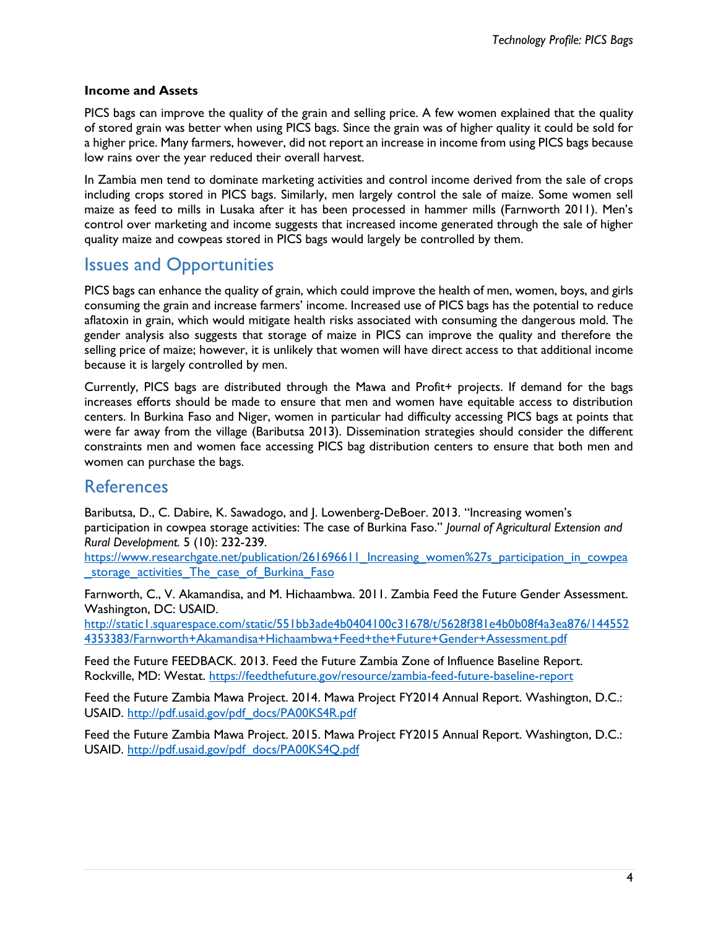#### **Income and Assets**

PICS bags can improve the quality of the grain and selling price. A few women explained that the quality of stored grain was better when using PICS bags. Since the grain was of higher quality it could be sold for a higher price. Many farmers, however, did not report an increase in income from using PICS bags because low rains over the year reduced their overall harvest.

In Zambia men tend to dominate marketing activities and control income derived from the sale of crops including crops stored in PICS bags. Similarly, men largely control the sale of maize. Some women sell maize as feed to mills in Lusaka after it has been processed in hammer mills (Farnworth 2011). Men's control over marketing and income suggests that increased income generated through the sale of higher quality maize and cowpeas stored in PICS bags would largely be controlled by them.

## Issues and Opportunities

PICS bags can enhance the quality of grain, which could improve the health of men, women, boys, and girls consuming the grain and increase farmers' income. Increased use of PICS bags has the potential to reduce aflatoxin in grain, which would mitigate health risks associated with consuming the dangerous mold. The gender analysis also suggests that storage of maize in PICS can improve the quality and therefore the selling price of maize; however, it is unlikely that women will have direct access to that additional income because it is largely controlled by men.

Currently, PICS bags are distributed through the Mawa and Profit+ projects. If demand for the bags increases efforts should be made to ensure that men and women have equitable access to distribution centers. In Burkina Faso and Niger, women in particular had difficulty accessing PICS bags at points that were far away from the village (Baributsa 2013). Dissemination strategies should consider the different constraints men and women face accessing PICS bag distribution centers to ensure that both men and women can purchase the bags.

### **References**

Baributsa, D., C. Dabire, K. Sawadogo, and J. Lowenberg-DeBoer. 2013. "Increasing women's participation in cowpea storage activities: The case of Burkina Faso." *Journal of Agricultural Extension and Rural Development.* 5 (10): 232-239.

[https://www.researchgate.net/publication/261696611\\_Increasing\\_women%27s\\_participation\\_in\\_cowpea](https://www.researchgate.net/publication/261696611_Increasing_women%27s_participation_in_cowpea_storage_activities_The_case_of_Burkina_Faso) storage activities The case of Burkina Faso

Farnworth, C., V. Akamandisa, and M. Hichaambwa. 2011. Zambia Feed the Future Gender Assessment. Washington, DC: USAID.

[http://static1.squarespace.com/static/551bb3ade4b0404100c31678/t/5628f381e4b0b08f4a3ea876/144552](http://static1.squarespace.com/static/551bb3ade4b0404100c31678/t/5628f381e4b0b08f4a3ea876/1445524353383/Farnworth+Akamandisa+Hichaambwa+Feed+the+Future+Gender+Assessment.pdf) [4353383/Farnworth+Akamandisa+Hichaambwa+Feed+the+Future+Gender+Assessment.pdf](http://static1.squarespace.com/static/551bb3ade4b0404100c31678/t/5628f381e4b0b08f4a3ea876/1445524353383/Farnworth+Akamandisa+Hichaambwa+Feed+the+Future+Gender+Assessment.pdf)

Feed the Future FEEDBACK. 2013. Feed the Future Zambia Zone of Influence Baseline Report. Rockville, MD: Westat. <https://feedthefuture.gov/resource/zambia-feed-future-baseline-report>

Feed the Future Zambia Mawa Project. 2014. Mawa Project FY2014 Annual Report. Washington, D.C.: USAID. [http://pdf.usaid.gov/pdf\\_docs/PA00KS4R.pdf](http://pdf.usaid.gov/pdf_docs/PA00KS4R.pdf)

Feed the Future Zambia Mawa Project. 2015. Mawa Project FY2015 Annual Report. Washington, D.C.: USAID. [http://pdf.usaid.gov/pdf\\_docs/PA00KS4Q.pdf](http://pdf.usaid.gov/pdf_docs/PA00KS4Q.pdf)